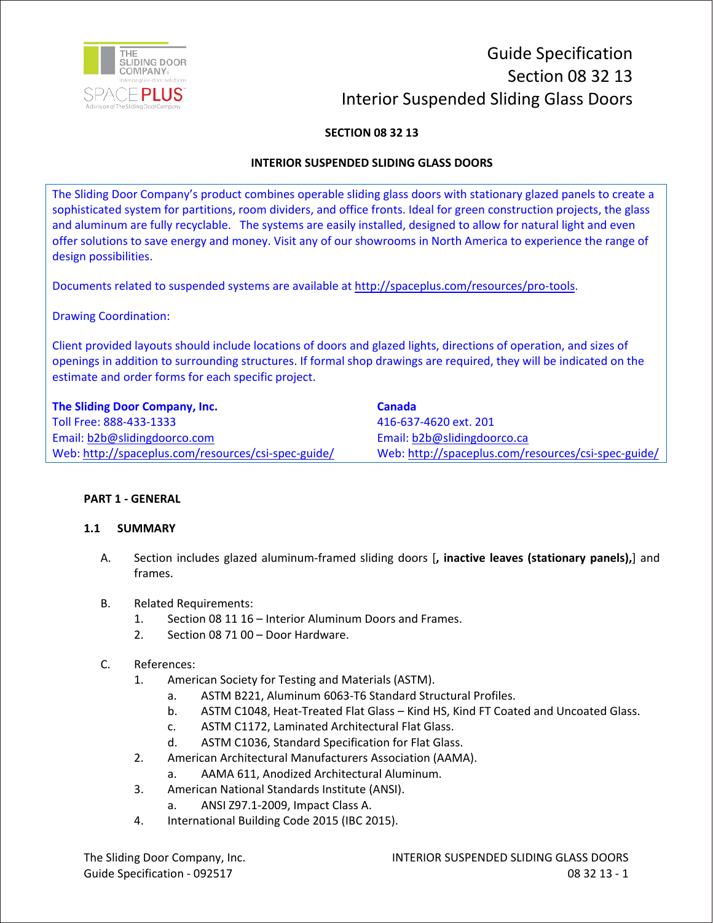

# Guide Specification Section 08 32 13 Interior Suspended Sliding Glass Doors

# **SECTION 08 32 13**

## **INTERIOR SUSPENDED SLIDING GLASS DOORS**

The Sliding Door Company's product combines operable sliding glass doors with stationary glazed panels to create a sophisticated system for partitions, room dividers, and office fronts. Ideal for green construction projects, the glass and aluminum are fully recyclable. The systems are easily installed, designed to allow for natural light and even offer solutions to save energy and money. Visit any of our showrooms in North America to experience the range of design possibilities.

Documents related to suspended systems are available at http://spaceplus.com/resources/pro-tools.

Drawing Coordination:

Client provided layouts should include locations of doors and glazed lights, directions of operation, and sizes of openings in addition to surrounding structures. If formal shop drawings are required, they will be indicated on the estimate and order forms for each specific project.

| The Sliding Door Company, Inc.                      | <b>Canada</b>                                       |
|-----------------------------------------------------|-----------------------------------------------------|
| Toll Free: 888-433-1333                             | 416-637-4620 ext. 201                               |
| Email: b2b@slidingdoorco.com                        | Email: b2b@slidingdoorco.ca                         |
| Web: http://spaceplus.com/resources/csi-spec-guide/ | Web: http://spaceplus.com/resources/csi-spec-guide/ |

#### **PART 1 - GENERAL**

#### **1.1 SUMMARY**

- A. Section includes glazed aluminum-framed sliding doors [**, inactive leaves (stationary panels),**] and frames.
- B. Related Requirements:
	- 1. Section 08 11 16 Interior Aluminum Doors and Frames.
	- 2. Section 08 71 00 Door Hardware.
- C. References:
	- 1. American Society for Testing and Materials (ASTM).
		- a. ASTM B221, Aluminum 6063-T6 Standard Structural Profiles.
		- b. ASTM C1048, Heat-Treated Flat Glass Kind HS, Kind FT Coated and Uncoated Glass.
		- c. ASTM C1172, Laminated Architectural Flat Glass.
		- d. ASTM C1036, Standard Specification for Flat Glass.
	- 2. American Architectural Manufacturers Association (AAMA).
		- a. AAMA 611, Anodized Architectural Aluminum.
	- 3. American National Standards Institute (ANSI).
		- a. ANSI Z97.1-2009, Impact Class A.
	- 4. International Building Code 2015 (IBC 2015).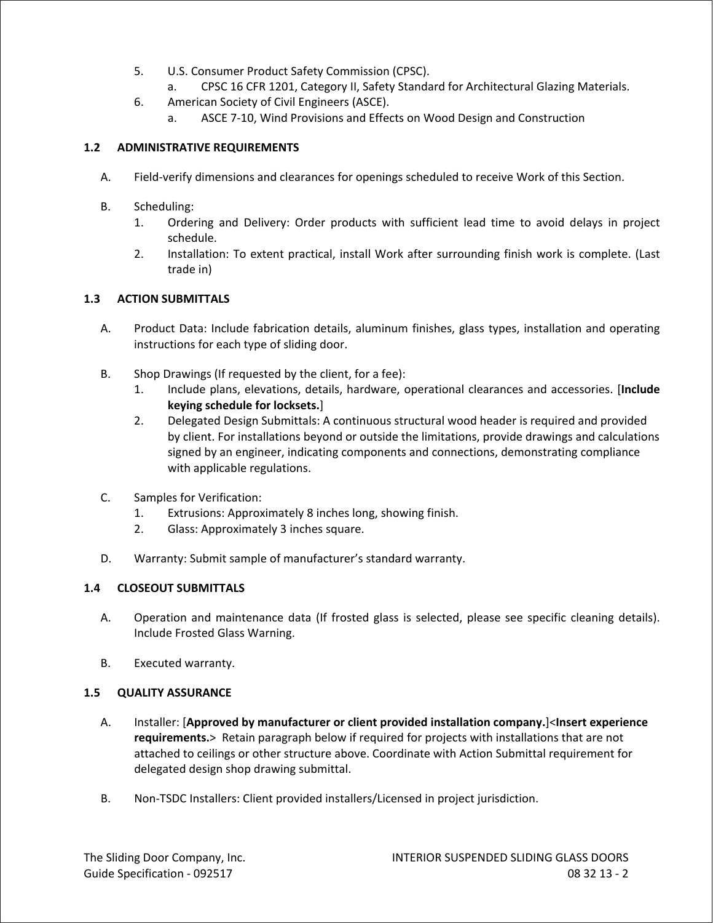- 5. U.S. Consumer Product Safety Commission (CPSC).
	- a. CPSC 16 CFR 1201, Category II, Safety Standard for Architectural Glazing Materials.
- 6. American Society of Civil Engineers (ASCE).
	- a. ASCE 7-10, Wind Provisions and Effects on Wood Design and Construction

# **1.2 ADMINISTRATIVE REQUIREMENTS**

- A. Field-verify dimensions and clearances for openings scheduled to receive Work of this Section.
- B. Scheduling:
	- 1. Ordering and Delivery: Order products with sufficient lead time to avoid delays in project schedule.
	- 2. Installation: To extent practical, install Work after surrounding finish work is complete. (Last trade in)

## **1.3 ACTION SUBMITTALS**

- A. Product Data: Include fabrication details, aluminum finishes, glass types, installation and operating instructions for each type of sliding door.
- B. Shop Drawings (If requested by the client, for a fee):
	- 1. Include plans, elevations, details, hardware, operational clearances and accessories. [**Include keying schedule for locksets.**]
	- 2. Delegated Design Submittals: A continuous structural wood header is required and provided by client. For installations beyond or outside the limitations, provide drawings and calculations signed by an engineer, indicating components and connections, demonstrating compliance with applicable regulations.
- C. Samples for Verification:
	- 1. Extrusions: Approximately 8 inches long, showing finish.
	- 2. Glass: Approximately 3 inches square.
- D. Warranty: Submit sample of manufacturer's standard warranty.

# **1.4 CLOSEOUT SUBMITTALS**

- A. Operation and maintenance data (If frosted glass is selected, please see specific cleaning details). Include Frosted Glass Warning.
- B. Executed warranty.

## **1.5 QUALITY ASSURANCE**

- A. Installer: [**Approved by manufacturer or client provided installation company.**]<**Insert experience requirements.**> Retain paragraph below if required for projects with installations that are not attached to ceilings or other structure above. Coordinate with Action Submittal requirement for delegated design shop drawing submittal.
- B. Non-TSDC Installers: Client provided installers/Licensed in project jurisdiction.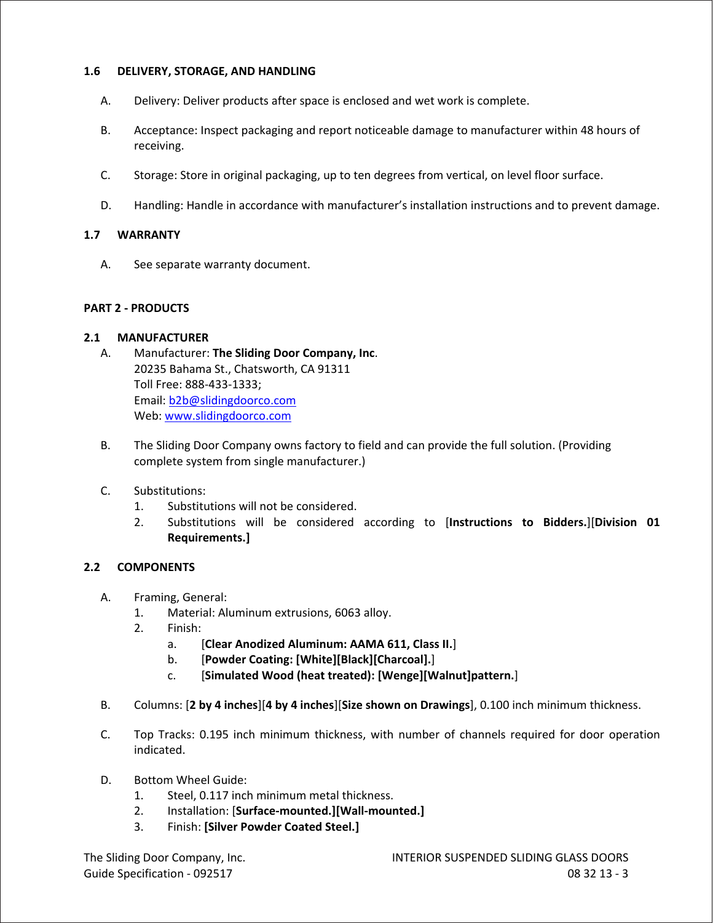#### **1.6 DELIVERY, STORAGE, AND HANDLING**

- A. Delivery: Deliver products after space is enclosed and wet work is complete.
- B. Acceptance: Inspect packaging and report noticeable damage to manufacturer within 48 hours of receiving.
- C. Storage: Store in original packaging, up to ten degrees from vertical, on level floor surface.
- D. Handling: Handle in accordance with manufacturer's installation instructions and to prevent damage.

#### **1.7 WARRANTY**

A. See separate warranty document.

#### **PART 2 - PRODUCTS**

#### **2.1 MANUFACTURER**

- A. Manufacturer: **The Sliding Door Company, Inc**. 20235 Bahama St., Chatsworth, CA 91311 Toll Free: 888-433-1333; Email: b2b@slidingdoorco.com Web: www.slidingdoorco.com
- B. The Sliding Door Company owns factory to field and can provide the full solution. (Providing complete system from single manufacturer.)
- C. Substitutions:
	- 1. Substitutions will not be considered.
	- 2. Substitutions will be considered according to [**Instructions to Bidders.**][**Division 01 Requirements.]**

#### **2.2 COMPONENTS**

- A. Framing, General:
	- 1. Material: Aluminum extrusions, 6063 alloy.
	- 2. Finish:
		- a. [**Clear Anodized Aluminum: AAMA 611, Class II.**]
		- b. [**Powder Coating: [White][Black][Charcoal].**]
		- c. [**Simulated Wood (heat treated): [Wenge][Walnut]pattern.**]
- B. Columns: [**2 by 4 inches**][**4 by 4 inches**][**Size shown on Drawings**], 0.100 inch minimum thickness.
- C. Top Tracks: 0.195 inch minimum thickness, with number of channels required for door operation indicated.
- D. Bottom Wheel Guide:
	- 1. Steel, 0.117 inch minimum metal thickness.
	- 2. Installation: [**Surface-mounted.][Wall-mounted.]**
	- 3. Finish: **[Silver Powder Coated Steel.]**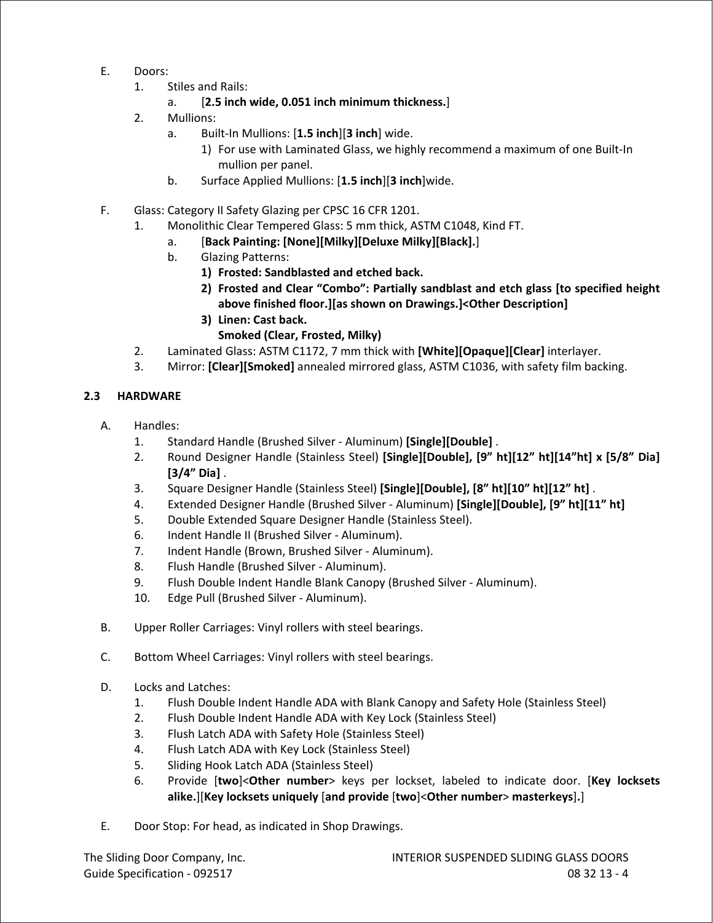- E. Doors:
	- 1. Stiles and Rails:
		- a. [**2.5 inch wide, 0.051 inch minimum thickness.**]
	- 2. Mullions:
		- a. Built-In Mullions: [**1.5 inch**][**3 inch**] wide.
			- 1) For use with Laminated Glass, we highly recommend a maximum of one Built-In mullion per panel.
		- b. Surface Applied Mullions: [**1.5 inch**][**3 inch**]wide.
- F. Glass: Category II Safety Glazing per CPSC 16 CFR 1201.
	- 1. Monolithic Clear Tempered Glass: 5 mm thick, ASTM C1048, Kind FT.
		- a. [**Back Painting: [None][Milky][Deluxe Milky][Black].**]
		- b. Glazing Patterns:
			- **1) Frosted: Sandblasted and etched back.**
			- **2) Frosted and Clear "Combo": Partially sandblast and etch glass [to specified height above finished floor.][as shown on Drawings.]<Other Description]**
			- **3) Linen: Cast back. Smoked (Clear, Frosted, Milky)**
	- 2. Laminated Glass: ASTM C1172, 7 mm thick with **[White][Opaque][Clear]** interlayer.
	- 3. Mirror: **[Clear][Smoked]** annealed mirrored glass, ASTM C1036, with safety film backing.

# **2.3 HARDWARE**

- A. Handles:
	- 1. Standard Handle (Brushed Silver Aluminum) **[Single][Double]** .
	- 2. Round Designer Handle (Stainless Steel) **[Single][Double], [9" ht][12" ht][14"ht] x [5/8" Dia] [3/4" Dia]** .
	- 3. Square Designer Handle (Stainless Steel) **[Single][Double], [8" ht][10" ht][12" ht]** .
	- 4. Extended Designer Handle (Brushed Silver Aluminum) **[Single][Double], [9" ht][11" ht]**
	- 5. Double Extended Square Designer Handle (Stainless Steel).
	- 6. Indent Handle II (Brushed Silver Aluminum).
	- 7. Indent Handle (Brown, Brushed Silver Aluminum).
	- 8. Flush Handle (Brushed Silver Aluminum).
	- 9. Flush Double Indent Handle Blank Canopy (Brushed Silver Aluminum).
	- 10. Edge Pull (Brushed Silver Aluminum).
- B. Upper Roller Carriages: Vinyl rollers with steel bearings.
- C. Bottom Wheel Carriages: Vinyl rollers with steel bearings.
- D. Locks and Latches:
	- 1. Flush Double Indent Handle ADA with Blank Canopy and Safety Hole (Stainless Steel)
	- 2. Flush Double Indent Handle ADA with Key Lock (Stainless Steel)
	- 3. Flush Latch ADA with Safety Hole (Stainless Steel)
	- 4. Flush Latch ADA with Key Lock (Stainless Steel)
	- 5. Sliding Hook Latch ADA (Stainless Steel)
	- 6. Provide [**two**]<**Other number**> keys per lockset, labeled to indicate door. [**Key locksets alike.**][**Key locksets uniquely** [**and provide** [**two**]<**Other number**> **masterkeys**]**.**]
- E. Door Stop: For head, as indicated in Shop Drawings.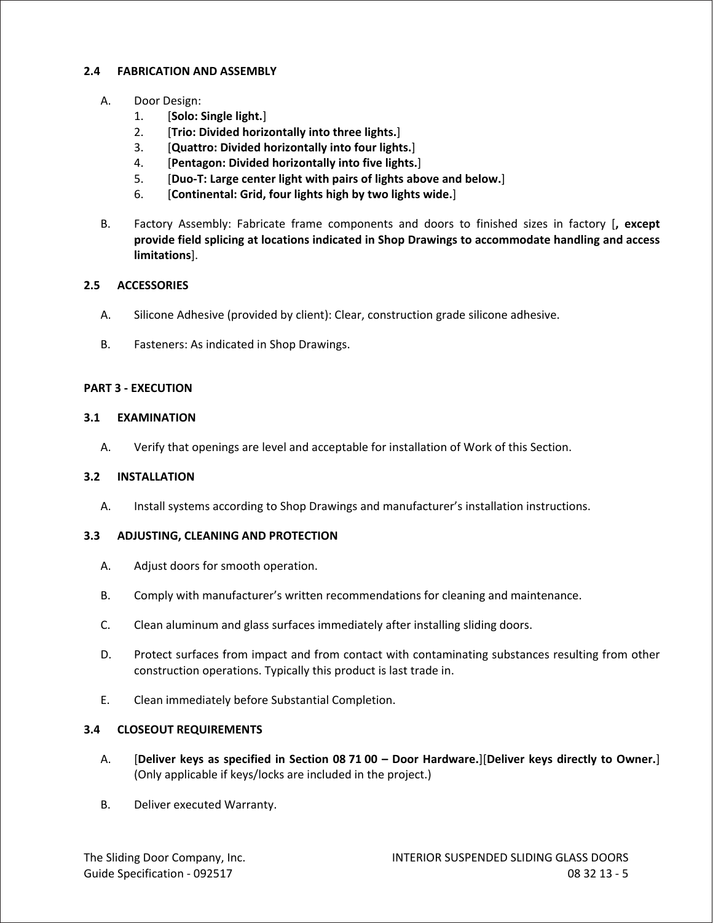## **2.4 FABRICATION AND ASSEMBLY**

- A. Door Design:
	- 1. [**Solo: Single light.**]
	- 2. [**Trio: Divided horizontally into three lights.**]
	- 3. [**Quattro: Divided horizontally into four lights.**]
	- 4. [**Pentagon: Divided horizontally into five lights.**]
	- 5. [**Duo-T: Large center light with pairs of lights above and below.**]
	- 6. [**Continental: Grid, four lights high by two lights wide.**]
- B. Factory Assembly: Fabricate frame components and doors to finished sizes in factory [**, except provide field splicing at locations indicated in Shop Drawings to accommodate handling and access limitations**].

## **2.5 ACCESSORIES**

- A. Silicone Adhesive (provided by client): Clear, construction grade silicone adhesive.
- B. Fasteners: As indicated in Shop Drawings.

#### **PART 3 - EXECUTION**

#### **3.1 EXAMINATION**

A. Verify that openings are level and acceptable for installation of Work of this Section.

#### **3.2 INSTALLATION**

A. Install systems according to Shop Drawings and manufacturer's installation instructions.

#### **3.3 ADJUSTING, CLEANING AND PROTECTION**

- A. Adjust doors for smooth operation.
- B. Comply with manufacturer's written recommendations for cleaning and maintenance.
- C. Clean aluminum and glass surfaces immediately after installing sliding doors.
- D. Protect surfaces from impact and from contact with contaminating substances resulting from other construction operations. Typically this product is last trade in.
- E. Clean immediately before Substantial Completion.

#### **3.4 CLOSEOUT REQUIREMENTS**

- A. [**Deliver keys as specified in Section 08 71 00 – Door Hardware.**][**Deliver keys directly to Owner.**] (Only applicable if keys/locks are included in the project.)
- B. Deliver executed Warranty.